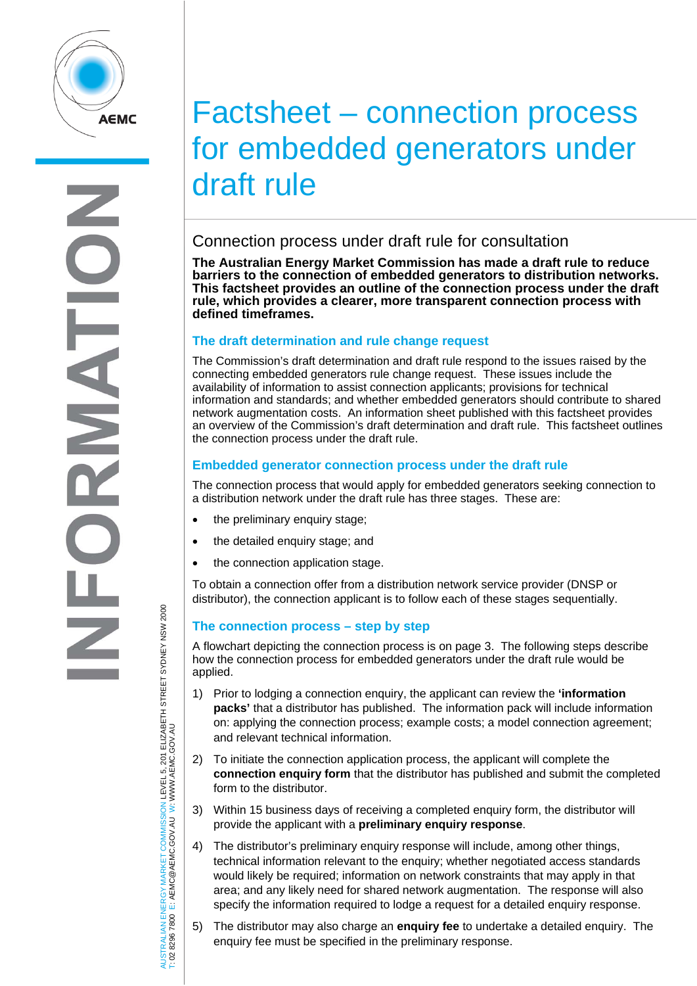

# Factsheet – connection process for embedded generators under draft rule

## Connection process under draft rule for consultation

**The Australian Energy Market Commission has made a draft rule to reduce barriers to the connection of embedded generators to distribution networks. This factsheet provides an outline of the connection process under the draft rule, which provides a clearer, more transparent connection process with defined timeframes.** 

#### **The draft determination and rule change request**

The Commission's draft determination and draft rule respond to the issues raised by the connecting embedded generators rule change request. These issues include the availability of information to assist connection applicants; provisions for technical information and standards; and whether embedded generators should contribute to shared network augmentation costs. An information sheet published with this factsheet provides an overview of the Commission's draft determination and draft rule. This factsheet outlines the connection process under the draft rule.

#### **Embedded generator connection process under the draft rule**

The connection process that would apply for embedded generators seeking connection to a distribution network under the draft rule has three stages. These are:

- the preliminary enquiry stage;
- the detailed enquiry stage; and
- the connection application stage.

To obtain a connection offer from a distribution network service provider (DNSP or distributor), the connection applicant is to follow each of these stages sequentially.

### **The connection process – step by step**

A flowchart depicting the connection process is on page 3. The following steps describe how the connection process for embedded generators under the draft rule would be applied.

- 1) Prior to lodging a connection enquiry, the applicant can review the **'information packs'** that a distributor has published. The information pack will include information on: applying the connection process; example costs; a model connection agreement; and relevant technical information.
- 2) To initiate the connection application process, the applicant will complete the **connection enquiry form** that the distributor has published and submit the completed form to the distributor.
- 3) Within 15 business days of receiving a completed enquiry form, the distributor will provide the applicant with a **preliminary enquiry response**.
- 4) The distributor's preliminary enquiry response will include, among other things, technical information relevant to the enquiry; whether negotiated access standards would likely be required; information on network constraints that may apply in that area; and any likely need for shared network augmentation. The response will also specify the information required to lodge a request for a detailed enquiry response.
- 5) The distributor may also charge an **enquiry fee** to undertake a detailed enquiry. The enquiry fee must be specified in the preliminary response.

WSTRALIAN ENERGY MARKET COMMISSION LEVEL 5, 201 ELIZABETH STREET SYDNEY NSW 2000<br>∶02 8296 7800 E: AEMC@AEMC.GOV.AU W∶WWW.AEMC.GOV.AU AUSTRALIAN ENERGY MARKET COMMISSION LEVEL 5, 201 ELIZABETH STREET SYDNEY NSW 2000 W: WWW.AEMC.GOV.AU T: 02 8296 7800 E: AEMC@AEMC.GOV.AU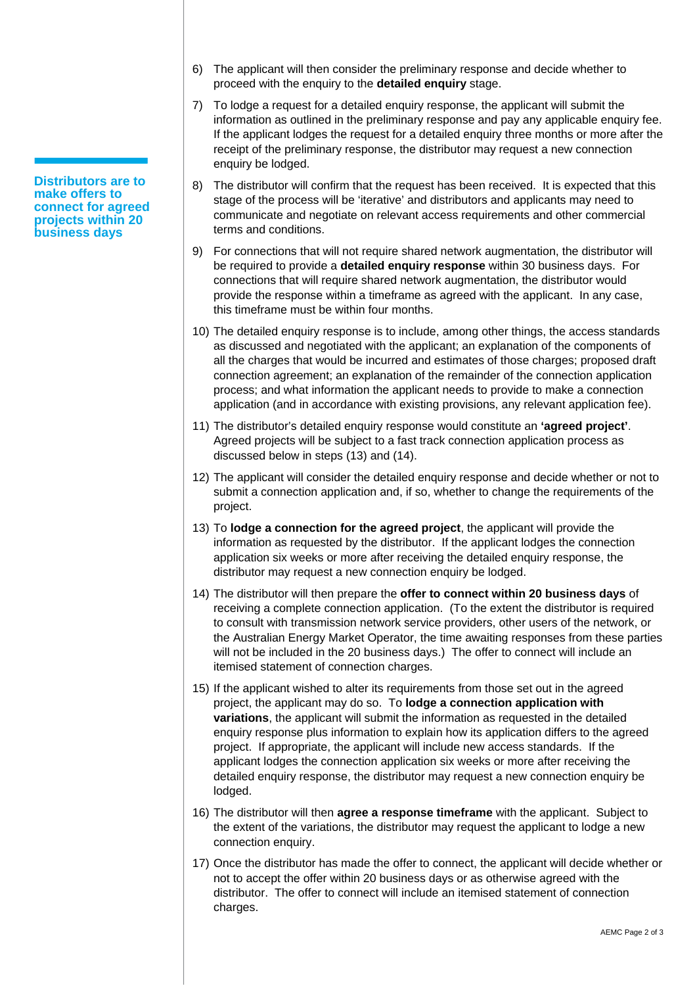- **Distributors are to make offers to connect for agreed projects within 20 business days**
- 6) The applicant will then consider the preliminary response and decide whether to proceed with the enquiry to the **detailed enquiry** stage.
- 7) To lodge a request for a detailed enquiry response, the applicant will submit the information as outlined in the preliminary response and pay any applicable enquiry fee. If the applicant lodges the request for a detailed enquiry three months or more after the receipt of the preliminary response, the distributor may request a new connection enquiry be lodged.
- 8) The distributor will confirm that the request has been received. It is expected that this stage of the process will be 'iterative' and distributors and applicants may need to communicate and negotiate on relevant access requirements and other commercial terms and conditions.
- 9) For connections that will not require shared network augmentation, the distributor will be required to provide a **detailed enquiry response** within 30 business days. For connections that will require shared network augmentation, the distributor would provide the response within a timeframe as agreed with the applicant. In any case, this timeframe must be within four months.
- 10) The detailed enquiry response is to include, among other things, the access standards as discussed and negotiated with the applicant; an explanation of the components of all the charges that would be incurred and estimates of those charges; proposed draft connection agreement; an explanation of the remainder of the connection application process; and what information the applicant needs to provide to make a connection application (and in accordance with existing provisions, any relevant application fee).
- 11) The distributor's detailed enquiry response would constitute an **'agreed project'**. Agreed projects will be subject to a fast track connection application process as discussed below in steps (13) and (14).
- 12) The applicant will consider the detailed enquiry response and decide whether or not to submit a connection application and, if so, whether to change the requirements of the project.
- 13) To **lodge a connection for the agreed project**, the applicant will provide the information as requested by the distributor. If the applicant lodges the connection application six weeks or more after receiving the detailed enquiry response, the distributor may request a new connection enquiry be lodged.
- 14) The distributor will then prepare the **offer to connect within 20 business days** of receiving a complete connection application. (To the extent the distributor is required to consult with transmission network service providers, other users of the network, or the Australian Energy Market Operator, the time awaiting responses from these parties will not be included in the 20 business days.) The offer to connect will include an itemised statement of connection charges.
- 15) If the applicant wished to alter its requirements from those set out in the agreed project, the applicant may do so. To **lodge a connection application with variations**, the applicant will submit the information as requested in the detailed enquiry response plus information to explain how its application differs to the agreed project. If appropriate, the applicant will include new access standards. If the applicant lodges the connection application six weeks or more after receiving the detailed enquiry response, the distributor may request a new connection enquiry be lodged.
- 16) The distributor will then **agree a response timeframe** with the applicant. Subject to the extent of the variations, the distributor may request the applicant to lodge a new connection enquiry.
- 17) Once the distributor has made the offer to connect, the applicant will decide whether or not to accept the offer within 20 business days or as otherwise agreed with the distributor. The offer to connect will include an itemised statement of connection charges.